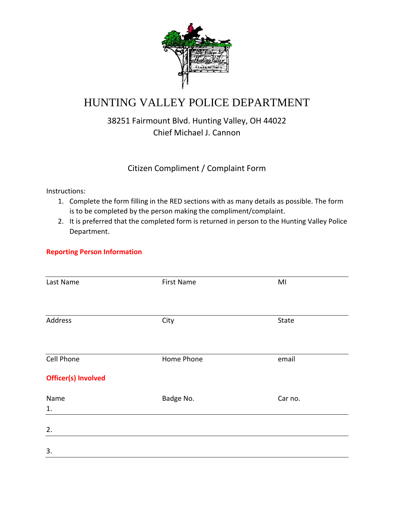

# HUNTING VALLEY POLICE DEPARTMENT

## 38251 Fairmount Blvd. Hunting Valley, OH 44022 Chief Michael J. Cannon

### Citizen Compliment / Complaint Form

Instructions:

- 1. Complete the form filling in the RED sections with as many details as possible. The form is to be completed by the person making the compliment/complaint.
- 2. It is preferred that the completed form is returned in person to the Hunting Valley Police Department.

#### **Reporting Person Information**

| Last Name                  | <b>First Name</b> | MI      |
|----------------------------|-------------------|---------|
|                            |                   |         |
| Address                    | City              | State   |
|                            |                   |         |
| Cell Phone                 | Home Phone        | email   |
|                            |                   |         |
| <b>Officer(s) Involved</b> |                   |         |
| Name                       | Badge No.         | Car no. |
| 1.                         |                   |         |
| 2.                         |                   |         |
| 3.                         |                   |         |
|                            |                   |         |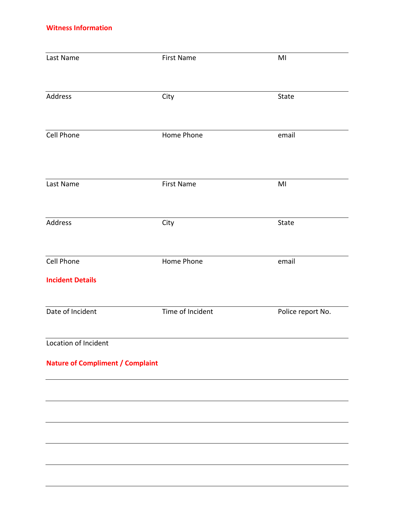#### **Witness Information**

| Last Name                               | <b>First Name</b> | MI                |
|-----------------------------------------|-------------------|-------------------|
| Address                                 | City              | State             |
| Cell Phone                              | Home Phone        | email             |
| Last Name                               | <b>First Name</b> | MI                |
| Address                                 | City              | State             |
| Cell Phone<br><b>Incident Details</b>   | Home Phone        | email             |
| Date of Incident                        | Time of Incident  | Police report No. |
| Location of Incident                    |                   |                   |
| <b>Nature of Compliment / Complaint</b> |                   |                   |
|                                         |                   |                   |
|                                         |                   |                   |
|                                         |                   |                   |